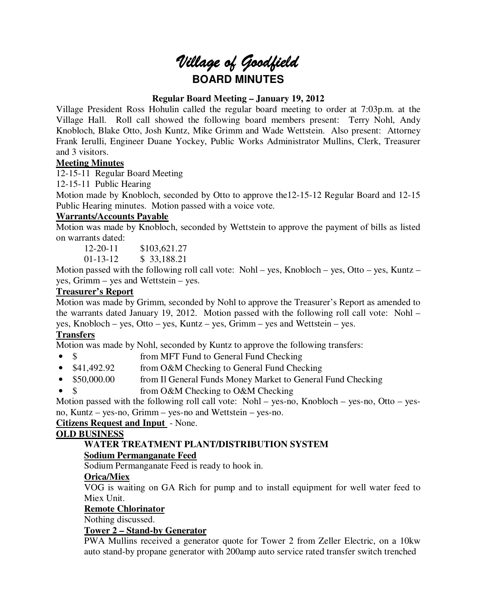# Village of Goodfield **BOARD MINUTES**

## **Regular Board Meeting – January 19, 2012**

Village President Ross Hohulin called the regular board meeting to order at 7:03p.m. at the Village Hall. Roll call showed the following board members present: Terry Nohl, Andy Knobloch, Blake Otto, Josh Kuntz, Mike Grimm and Wade Wettstein. Also present: Attorney Frank Ierulli, Engineer Duane Yockey, Public Works Administrator Mullins, Clerk, Treasurer and 3 visitors.

## **Meeting Minutes**

12-15-11 Regular Board Meeting

12-15-11 Public Hearing

Motion made by Knobloch, seconded by Otto to approve the12-15-12 Regular Board and 12-15 Public Hearing minutes. Motion passed with a voice vote.

## **Warrants/Accounts Payable**

Motion was made by Knobloch, seconded by Wettstein to approve the payment of bills as listed on warrants dated:

12-20-11 \$103.621.27

01-13-12 \$ 33,188.21

Motion passed with the following roll call vote: Nohl – yes, Knobloch – yes, Otto – yes, Kuntz – yes, Grimm – yes and Wettstein – yes.

## **Treasurer's Report**

Motion was made by Grimm, seconded by Nohl to approve the Treasurer's Report as amended to the warrants dated January 19, 2012. Motion passed with the following roll call vote: Nohl – yes, Knobloch – yes, Otto – yes, Kuntz – yes, Grimm – yes and Wettstein – yes.

# **Transfers**

Motion was made by Nohl, seconded by Kuntz to approve the following transfers:

- \$ from MFT Fund to General Fund Checking
- \$41,492.92 from O&M Checking to General Fund Checking
- \$50,000.00 from Il General Funds Money Market to General Fund Checking
- \$ from O&M Checking to O&M Checking

Motion passed with the following roll call vote: Nohl – yes-no, Knobloch – yes-no, Otto – yesno, Kuntz – yes-no, Grimm – yes-no and Wettstein – yes-no.

# **Citizens Request and Input** - None.

## **OLD BUSINESS**

## **WATER TREATMENT PLANT/DISTRIBUTION SYSTEM Sodium Permanganate Feed**

Sodium Permanganate Feed is ready to hook in.

# **Orica/Miex**

VOG is waiting on GA Rich for pump and to install equipment for well water feed to Miex Unit.

## **Remote Chlorinator**

Nothing discussed.

# **Tower 2 – Stand-by Generator**

PWA Mullins received a generator quote for Tower 2 from Zeller Electric, on a 10kw auto stand-by propane generator with 200amp auto service rated transfer switch trenched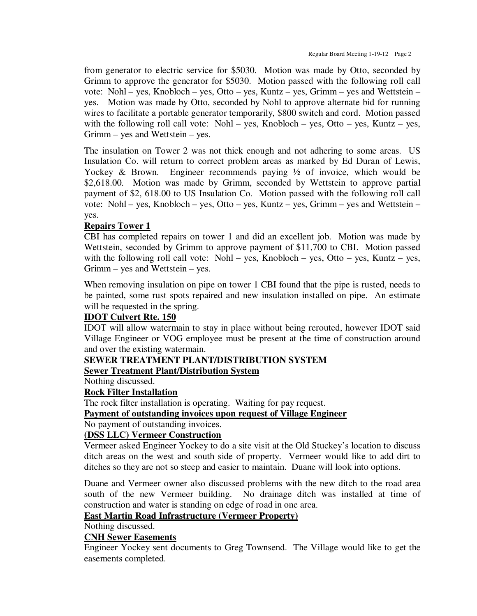from generator to electric service for \$5030. Motion was made by Otto, seconded by Grimm to approve the generator for \$5030. Motion passed with the following roll call vote: Nohl – yes, Knobloch – yes, Otto – yes, Kuntz – yes, Grimm – yes and Wettstein – yes. Motion was made by Otto, seconded by Nohl to approve alternate bid for running wires to facilitate a portable generator temporarily, \$800 switch and cord. Motion passed with the following roll call vote: Nohl – yes, Knobloch – yes, Otto – yes, Kuntz – yes, Grimm – yes and Wettstein – yes.

The insulation on Tower 2 was not thick enough and not adhering to some areas. US Insulation Co. will return to correct problem areas as marked by Ed Duran of Lewis, Yockey & Brown. Engineer recommends paying  $\frac{1}{2}$  of invoice, which would be \$2,618.00. Motion was made by Grimm, seconded by Wettstein to approve partial payment of \$2, 618.00 to US Insulation Co. Motion passed with the following roll call vote: Nohl – yes, Knobloch – yes, Otto – yes, Kuntz – yes, Grimm – yes and Wettstein – yes.

## **Repairs Tower 1**

CBI has completed repairs on tower 1 and did an excellent job. Motion was made by Wettstein, seconded by Grimm to approve payment of \$11,700 to CBI. Motion passed with the following roll call vote: Nohl – yes, Knobloch – yes, Otto – yes, Kuntz – yes, Grimm – yes and Wettstein – yes.

When removing insulation on pipe on tower 1 CBI found that the pipe is rusted, needs to be painted, some rust spots repaired and new insulation installed on pipe. An estimate will be requested in the spring.

## **IDOT Culvert Rte. 150**

IDOT will allow watermain to stay in place without being rerouted, however IDOT said Village Engineer or VOG employee must be present at the time of construction around and over the existing watermain.

## **SEWER TREATMENT PLANT/DISTRIBUTION SYSTEM**

## **Sewer Treatment Plant/Distribution System**

Nothing discussed.

## **Rock Filter Installation**

The rock filter installation is operating. Waiting for pay request.

## **Payment of outstanding invoices upon request of Village Engineer**

No payment of outstanding invoices.

#### **(DSS LLC) Vermeer Construction**

Vermeer asked Engineer Yockey to do a site visit at the Old Stuckey's location to discuss ditch areas on the west and south side of property. Vermeer would like to add dirt to ditches so they are not so steep and easier to maintain. Duane will look into options.

Duane and Vermeer owner also discussed problems with the new ditch to the road area south of the new Vermeer building. No drainage ditch was installed at time of construction and water is standing on edge of road in one area.

## **East Martin Road Infrastructure (Vermeer Property)**

Nothing discussed.

#### **CNH Sewer Easements**

Engineer Yockey sent documents to Greg Townsend. The Village would like to get the easements completed.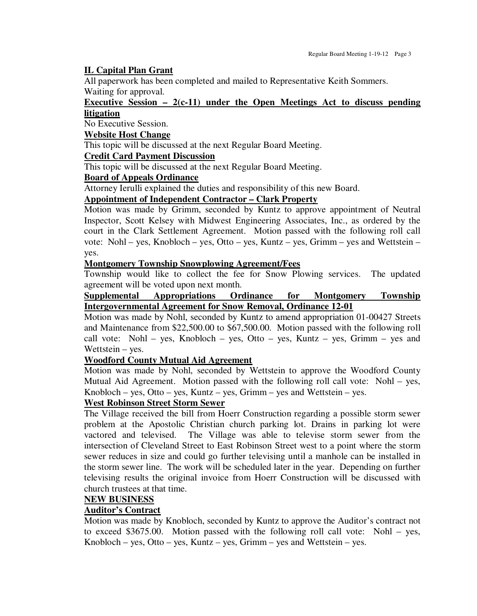## **IL Capital Plan Grant**

All paperwork has been completed and mailed to Representative Keith Sommers. Waiting for approval.

## **Executive Session – 2(c-11) under the Open Meetings Act to discuss pending litigation**

No Executive Session.

#### **Website Host Change**

This topic will be discussed at the next Regular Board Meeting.

## **Credit Card Payment Discussion**

This topic will be discussed at the next Regular Board Meeting.

## **Board of Appeals Ordinance**

Attorney Ierulli explained the duties and responsibility of this new Board.

#### **Appointment of Independent Contractor – Clark Property**

Motion was made by Grimm, seconded by Kuntz to approve appointment of Neutral Inspector, Scott Kelsey with Midwest Engineering Associates, Inc., as ordered by the court in the Clark Settlement Agreement. Motion passed with the following roll call vote: Nohl – yes, Knobloch – yes, Otto – yes, Kuntz – yes, Grimm – yes and Wettstein – yes.

#### **Montgomery Township Snowplowing Agreement/Fees**

Township would like to collect the fee for Snow Plowing services. The updated agreement will be voted upon next month.

## **Supplemental Appropriations Ordinance for Montgomery Township Intergovernmental Agreement for Snow Removal, Ordinance 12-01**

Motion was made by Nohl, seconded by Kuntz to amend appropriation 01-00427 Streets and Maintenance from \$22,500.00 to \$67,500.00. Motion passed with the following roll call vote: Nohl – yes, Knobloch – yes, Otto – yes, Kuntz – yes, Grimm – yes and Wettstein – yes.

## **Woodford County Mutual Aid Agreement**

Motion was made by Nohl, seconded by Wettstein to approve the Woodford County Mutual Aid Agreement. Motion passed with the following roll call vote: Nohl – yes, Knobloch – yes, Otto – yes, Kuntz – yes, Grimm – yes and Wettstein – yes.

## **West Robinson Street Storm Sewer**

The Village received the bill from Hoerr Construction regarding a possible storm sewer problem at the Apostolic Christian church parking lot. Drains in parking lot were vactored and televised. The Village was able to televise storm sewer from the intersection of Cleveland Street to East Robinson Street west to a point where the storm sewer reduces in size and could go further televising until a manhole can be installed in the storm sewer line. The work will be scheduled later in the year. Depending on further televising results the original invoice from Hoerr Construction will be discussed with church trustees at that time.

## **NEW BUSINESS**

## **Auditor's Contract**

Motion was made by Knobloch, seconded by Kuntz to approve the Auditor's contract not to exceed \$3675.00. Motion passed with the following roll call vote: Nohl – yes, Knobloch – yes, Otto – yes, Kuntz – yes, Grimm – yes and Wettstein – yes.